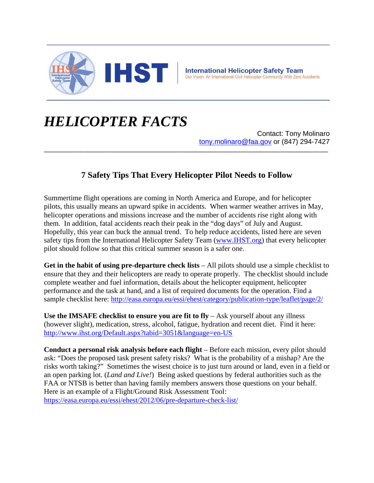

## *HELICOPTER FACTS*

Contact: Tony Molinaro tony.molinaro@faa.gov or (847) 294-7427

## **7 Safety Tips That Every Helicopter Pilot Needs to Follow**

**\_\_\_\_\_\_\_\_\_\_\_\_\_\_\_\_\_\_\_\_\_\_\_\_\_\_\_\_\_\_\_\_\_\_\_\_\_\_\_\_\_\_\_\_\_\_\_\_\_\_\_\_\_\_\_\_\_\_\_\_\_\_\_\_\_\_\_\_\_\_\_\_\_\_\_\_\_\_\_\_\_\_\_\_\_\_\_\_\_\_\_\_\_**

Summertime flight operations are coming in North America and Europe, and for helicopter pilots, this usually means an upward spike in accidents. When warmer weather arrives in May, helicopter operations and missions increase and the number of accidents rise right along with them. In addition, fatal accidents reach their peak in the "dog days" of July and August. Hopefully, this year can buck the annual trend. To help reduce accidents, listed here are seven safety tips from the International Helicopter Safety Team (www.IHST.org) that every helicopter pilot should follow so that this critical summer season is a safer one.

**Get in the habit of using pre-departure check lists** – All pilots should use a simple checklist to ensure that they and their helicopters are ready to operate properly. The checklist should include complete weather and fuel information, details about the helicopter equipment, helicopter performance and the task at hand, and a list of required documents for the operation. Find a sample checklist here: http://easa.europa.eu/essi/ehest/category/publication-type/leaflet/page/2/

**Use the IMSAFE checklist to ensure you are fit to fly** – Ask yourself about any illness (however slight), medication, stress, alcohol, fatigue, hydration and recent diet. Find it here: http://www.ihst.org/Default.aspx?tabid=3051&language=en-US

**Conduct a personal risk analysis before each flight** – Before each mission, every pilot should ask: "Does the proposed task present safety risks? What is the probability of a mishap? Are the risks worth taking?" Sometimes the wisest choice is to just turn around or land, even in a field or an open parking lot. (*Land and Live!*) Being asked questions by federal authorities such as the FAA or NTSB is better than having family members answers those questions on your behalf. Here is an example of a Flight/Ground Risk Assessment Tool: https://easa.europa.eu/essi/ehest/2012/06/pre-departure-check-list/